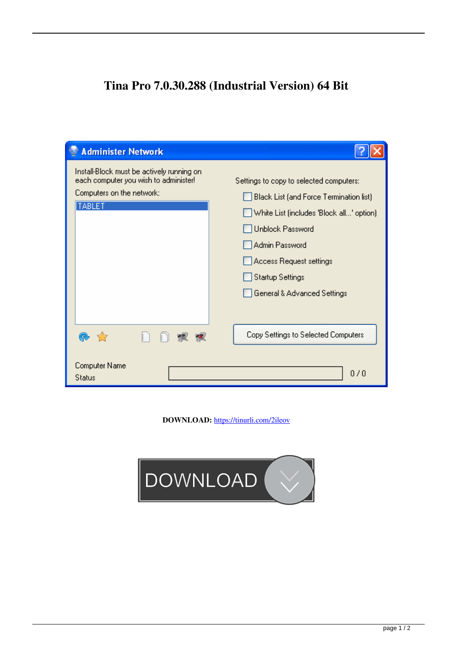## Tina Pro 7.0.30.288 (Industrial Version) 64 Bit

| <b>Administer Network</b>                                                                                                        |                                                                                                                                                                                                                                                           |
|----------------------------------------------------------------------------------------------------------------------------------|-----------------------------------------------------------------------------------------------------------------------------------------------------------------------------------------------------------------------------------------------------------|
| Install-Block must be actively running on<br>each computer you wish to administer!<br>Computers on the network:<br><b>TABLET</b> | Settings to copy to selected computers:<br><b>Black List (and Force Termination list)</b><br>White List (includes 'Block all' option)<br>Unblock Password<br>Admin Password<br>Access Request settings<br>Startup Settings<br>General & Advanced Settings |
| ® ÷                                                                                                                              | Copy Settings to Selected Computers                                                                                                                                                                                                                       |
| Computer Name<br>Status                                                                                                          | 0/0                                                                                                                                                                                                                                                       |

DOWNLOAD: https://tinurli.com/2ileov